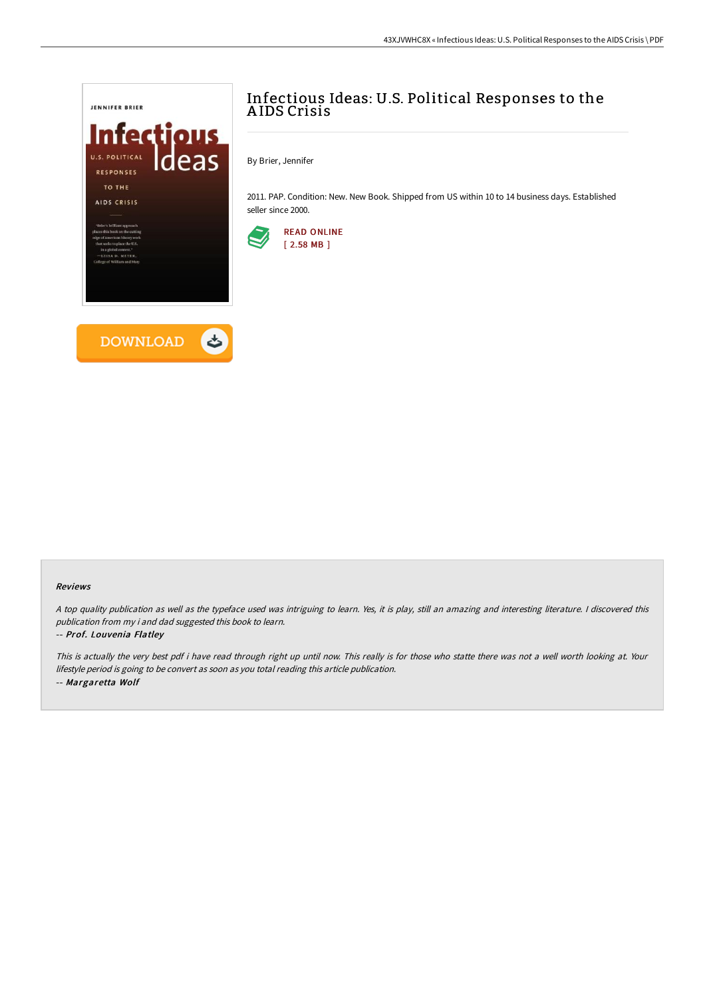

# Infectious Ideas: U.S. Political Responses to the A IDS Crisis

By Brier, Jennifer

2011. PAP. Condition: New. New Book. Shipped from US within 10 to 14 business days. Established seller since 2000.



### Reviews

<sup>A</sup> top quality publication as well as the typeface used was intriguing to learn. Yes, it is play, still an amazing and interesting literature. <sup>I</sup> discovered this publication from my i and dad suggested this book to learn.

### -- Prof. Louvenia Flatley

This is actually the very best pdf i have read through right up until now. This really is for those who statte there was not <sup>a</sup> well worth looking at. Your lifestyle period is going to be convert as soon as you total reading this article publication. -- Margaretta Wolf